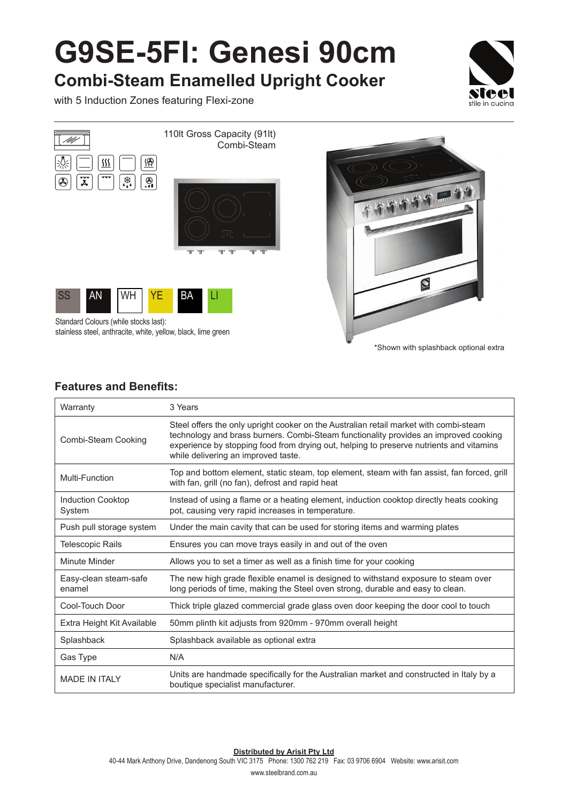## **G9SE-5FI: Genesi 90cm**

**Combi-Steam Enamelled Upright Cooker**

with 5 Induction Zones featuring Flexi-zone





Standard Colours (while stocks last): stainless steel, anthracite, white, yellow, black, lime green

\*Shown with splashback optional extra

## **Features and Benefits:**

| Warranty                           | 3 Years                                                                                                                                                                                                                                                                                                         |
|------------------------------------|-----------------------------------------------------------------------------------------------------------------------------------------------------------------------------------------------------------------------------------------------------------------------------------------------------------------|
| Combi-Steam Cooking                | Steel offers the only upright cooker on the Australian retail market with combi-steam<br>technology and brass burners. Combi-Steam functionality provides an improved cooking<br>experience by stopping food from drying out, helping to preserve nutrients and vitamins<br>while delivering an improved taste. |
| Multi-Function                     | Top and bottom element, static steam, top element, steam with fan assist, fan forced, grill<br>with fan, grill (no fan), defrost and rapid heat                                                                                                                                                                 |
| <b>Induction Cooktop</b><br>System | Instead of using a flame or a heating element, induction cooktop directly heats cooking<br>pot, causing very rapid increases in temperature.                                                                                                                                                                    |
| Push pull storage system           | Under the main cavity that can be used for storing items and warming plates                                                                                                                                                                                                                                     |
| Telescopic Rails                   | Ensures you can move trays easily in and out of the oven                                                                                                                                                                                                                                                        |
| Minute Minder                      | Allows you to set a timer as well as a finish time for your cooking                                                                                                                                                                                                                                             |
| Easy-clean steam-safe<br>enamel    | The new high grade flexible enamel is designed to withstand exposure to steam over<br>long periods of time, making the Steel oven strong, durable and easy to clean.                                                                                                                                            |
| Cool-Touch Door                    | Thick triple glazed commercial grade glass oven door keeping the door cool to touch                                                                                                                                                                                                                             |
| Extra Height Kit Available         | 50mm plinth kit adjusts from 920mm - 970mm overall height                                                                                                                                                                                                                                                       |
| Splashback                         | Splashback available as optional extra                                                                                                                                                                                                                                                                          |
| Gas Type                           | N/A                                                                                                                                                                                                                                                                                                             |
| <b>MADE IN ITALY</b>               | Units are handmade specifically for the Australian market and constructed in Italy by a<br>boutique specialist manufacturer.                                                                                                                                                                                    |

**Distributed by Arisit Pty Ltd**